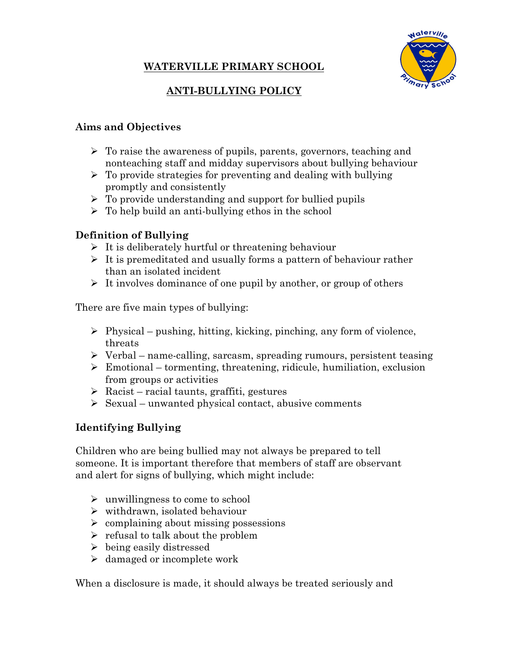# **WATERVILLE PRIMARY SCHOOL**



# **ANTI-BULLYING POLICY**

#### **Aims and Objectives**

- $\triangleright$  To raise the awareness of pupils, parents, governors, teaching and nonteaching staff and midday supervisors about bullying behaviour
- $\triangleright$  To provide strategies for preventing and dealing with bullying promptly and consistently
- $\triangleright$  To provide understanding and support for bullied pupils
- $\triangleright$  To help build an anti-bullying ethos in the school

## **Definition of Bullying**

- $\triangleright$  It is deliberately hurtful or threatening behaviour
- $\triangleright$  It is premeditated and usually forms a pattern of behaviour rather than an isolated incident
- $\triangleright$  It involves dominance of one pupil by another, or group of others

There are five main types of bullying:

- $\triangleright$  Physical pushing, hitting, kicking, pinching, any form of violence, threats
- $\triangleright$  Verbal name-calling, sarcasm, spreading rumours, persistent teasing
- $\triangleright$  Emotional tormenting, threatening, ridicule, humiliation, exclusion from groups or activities
- $\triangleright$  Racist racial taunts, graffiti, gestures
- $\triangleright$  Sexual unwanted physical contact, abusive comments

## **Identifying Bullying**

Children who are being bullied may not always be prepared to tell someone. It is important therefore that members of staff are observant and alert for signs of bullying, which might include:

- $\triangleright$  unwillingness to come to school
- $\triangleright$  withdrawn, isolated behaviour
- $\geq$  complaining about missing possessions
- $\triangleright$  refusal to talk about the problem
- $\triangleright$  being easily distressed
- $\triangleright$  damaged or incomplete work

When a disclosure is made, it should always be treated seriously and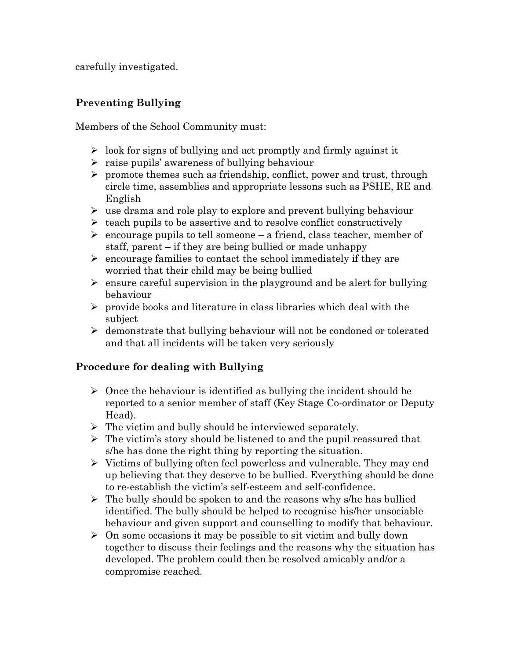carefully investigated.

#### **Preventing Bullying**

Members of the School Community must:

- $\geq$  look for signs of bullying and act promptly and firmly against it
- $\triangleright$  raise pupils' awareness of bullying behaviour
- $\triangleright$  promote themes such as friendship, conflict, power and trust, through circle time, assemblies and appropriate lessons such as PSHE, RE and English
- $\triangleright$  use drama and role play to explore and prevent bullying behaviour
- $\triangleright$  teach pupils to be assertive and to resolve conflict constructively
- $\triangleright$  encourage pupils to tell someone a friend, class teacher, member of staff, parent – if they are being bullied or made unhappy
- $\triangleright$  encourage families to contact the school immediately if they are worried that their child may be being bullied
- $\triangleright$  ensure careful supervision in the playground and be alert for bullying behaviour
- $\triangleright$  provide books and literature in class libraries which deal with the subject
- $\triangleright$  demonstrate that bullying behaviour will not be condoned or tolerated and that all incidents will be taken very seriously

## **Procedure for dealing with Bullying**

- $\triangleright$  Once the behaviour is identified as bullying the incident should be reported to a senior member of staff (Key Stage Co-ordinator or Deputy Head).
- $\triangleright$  The victim and bully should be interviewed separately.
- $\triangleright$  The victim's story should be listened to and the pupil reassured that s/he has done the right thing by reporting the situation.
- $\triangleright$  Victims of bullying often feel powerless and vulnerable. They may end up believing that they deserve to be bullied. Everything should be done to re-establish the victim's self-esteem and self-confidence.
- $\triangleright$  The bully should be spoken to and the reasons why s/he has bullied identified. The bully should be helped to recognise his/her unsociable behaviour and given support and counselling to modify that behaviour.
- $\geq$  On some occasions it may be possible to sit victim and bully down together to discuss their feelings and the reasons why the situation has developed. The problem could then be resolved amicably and/or a compromise reached.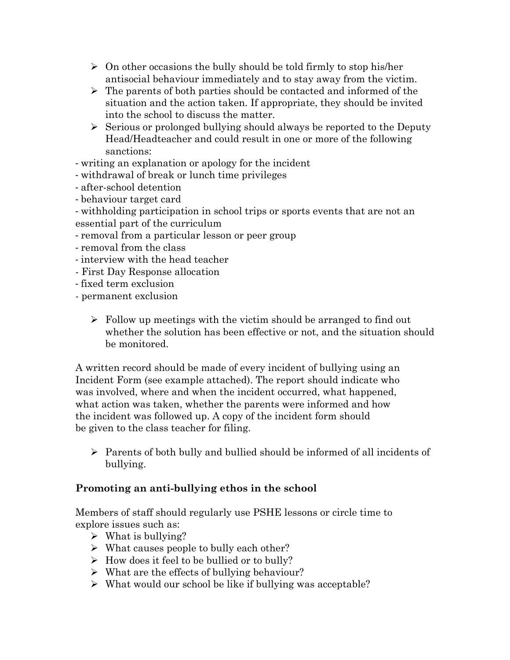- $\triangleright$  On other occasions the bully should be told firmly to stop his/her antisocial behaviour immediately and to stay away from the victim.
- $\triangleright$  The parents of both parties should be contacted and informed of the situation and the action taken. If appropriate, they should be invited into the school to discuss the matter.
- $\triangleright$  Serious or prolonged bullying should always be reported to the Deputy Head/Headteacher and could result in one or more of the following sanctions:
- writing an explanation or apology for the incident
- withdrawal of break or lunch time privileges
- after-school detention
- behaviour target card
- withholding participation in school trips or sports events that are not an essential part of the curriculum
- removal from a particular lesson or peer group
- removal from the class
- interview with the head teacher
- First Day Response allocation
- fixed term exclusion
- permanent exclusion
	- $\triangleright$  Follow up meetings with the victim should be arranged to find out whether the solution has been effective or not, and the situation should be monitored.

A written record should be made of every incident of bullying using an Incident Form (see example attached). The report should indicate who was involved, where and when the incident occurred, what happened, what action was taken, whether the parents were informed and how the incident was followed up. A copy of the incident form should be given to the class teacher for filing.

 $\triangleright$  Parents of both bully and bullied should be informed of all incidents of bullying.

## **Promoting an anti-bullying ethos in the school**

Members of staff should regularly use PSHE lessons or circle time to explore issues such as:

- $\triangleright$  What is bullying?
- $\triangleright$  What causes people to bully each other?
- $\triangleright$  How does it feel to be bullied or to bully?
- $\triangleright$  What are the effects of bullying behaviour?
- $\triangleright$  What would our school be like if bullying was acceptable?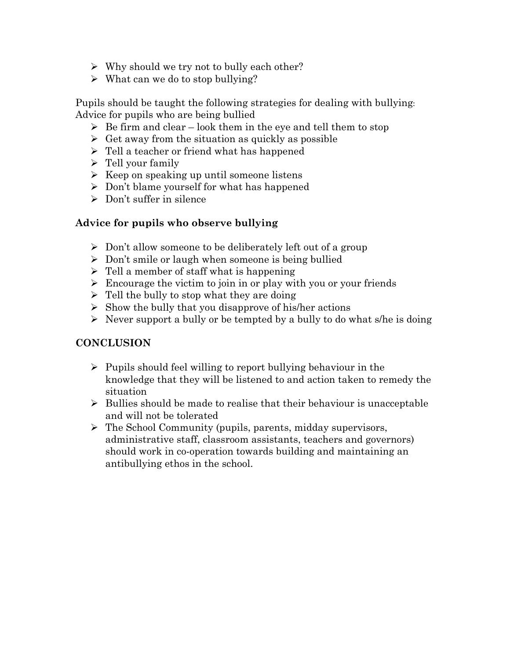- $\triangleright$  Why should we try not to bully each other?
- $\triangleright$  What can we do to stop bullying?

Pupils should be taught the following strategies for dealing with bullying: Advice for pupils who are being bullied

- $\triangleright$  Be firm and clear look them in the eye and tell them to stop
- $\triangleright$  Get away from the situation as quickly as possible
- $\triangleright$  Tell a teacher or friend what has happened
- $\triangleright$  Tell your family
- $\triangleright$  Keep on speaking up until someone listens
- $\triangleright$  Don't blame yourself for what has happened
- $\triangleright$  Don't suffer in silence

#### **Advice for pupils who observe bullying**

- $\triangleright$  Don't allow someone to be deliberately left out of a group
- $\triangleright$  Don't smile or laugh when someone is being bullied
- $\triangleright$  Tell a member of staff what is happening
- $\triangleright$  Encourage the victim to join in or play with you or your friends
- $\triangleright$  Tell the bully to stop what they are doing
- $\triangleright$  Show the bully that you disapprove of his/her actions
- $\triangleright$  Never support a bully or be tempted by a bully to do what s/he is doing

#### **CONCLUSION**

- $\triangleright$  Pupils should feel willing to report bullying behaviour in the knowledge that they will be listened to and action taken to remedy the situation
- $\triangleright$  Bullies should be made to realise that their behaviour is unacceptable and will not be tolerated
- $\triangleright$  The School Community (pupils, parents, midday supervisors, administrative staff, classroom assistants, teachers and governors) should work in co-operation towards building and maintaining an antibullying ethos in the school.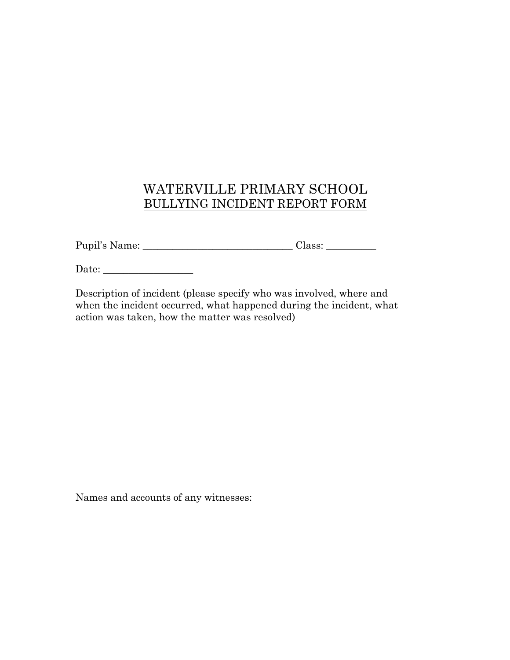# WATERVILLE PRIMARY SCHOOL BULLYING INCIDENT REPORT FORM

Pupil's Name: \_\_\_\_\_\_\_\_\_\_\_\_\_\_\_\_\_\_\_\_\_\_\_\_\_\_\_\_\_\_ Class: \_\_\_\_\_\_\_\_\_\_

Date: \_\_\_\_\_\_\_\_\_\_\_\_\_\_\_\_\_\_

Description of incident (please specify who was involved, where and when the incident occurred, what happened during the incident, what action was taken, how the matter was resolved)

Names and accounts of any witnesses: